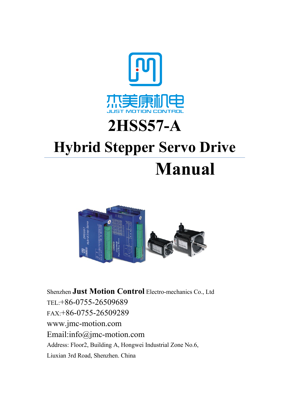

# **2HSS57-A**

# **Hybrid Stepper Servo Drive**

# **Manual**



Shenzhen **Just Motion Control** Electro-mechanics Co., Ltd TEL:+86-0755-26509689 FAX:+86-0755-26509289 www.jmc-motion.com Email:info@jmc-motion.com Address: Floor2, Building A, Hongwei Industrial Zone No.6, Liuxian 3rd Road, Shenzhen. China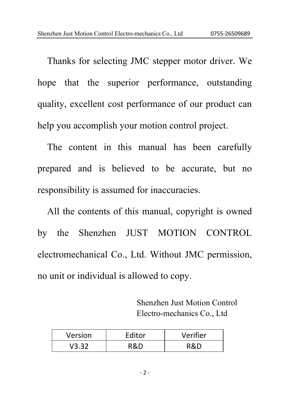Thanks for selecting JMC stepper motor driver. We hope that the superior performance, outstanding quality, excellent cost performance of our product can help you accomplish your motion control project.

The content in this manual has been carefully prepared and is believed to be accurate, but no responsibility is assumed for inaccuracies.

All the contents of this manual, copyright is owned by the Shenzhen JUST MOTION CONTROL electromechanical Co., Ltd. Without JMC permission, no unit or individual is allowed to copy.

> Shenzhen Just Motion Control Electro-mechanics Co., Ltd

| Version | Editor | Verifier |
|---------|--------|----------|
| V3.32   | D.R.   | ۹۵.۳     |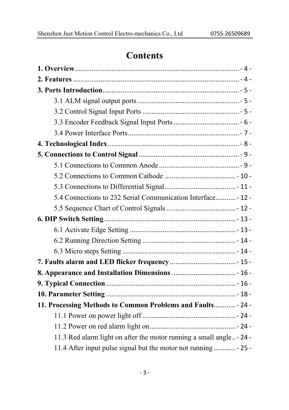# **Contents**

| 5.4 Connections to 232 Serial Communication Interface - 12 -         |  |
|----------------------------------------------------------------------|--|
|                                                                      |  |
|                                                                      |  |
|                                                                      |  |
|                                                                      |  |
|                                                                      |  |
|                                                                      |  |
|                                                                      |  |
|                                                                      |  |
|                                                                      |  |
| 11. Processing Methods to Common Problems and Faults - 24 -          |  |
|                                                                      |  |
|                                                                      |  |
| 11.3 Red alarm light on after the motor running a small angle - 24 - |  |
| 11.4 After input pulse signal but the motor not running  - 25 -      |  |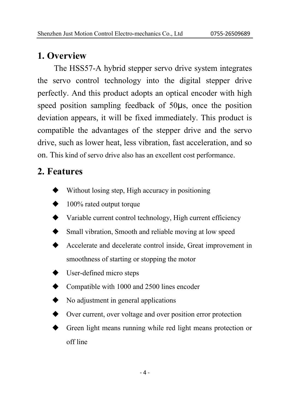# **1. Overview**

The HSS57-A hybrid stepper servo drive system integrates the servo control technology into the digital stepper drive perfectly. And this product adopts an optical encoder with high speed position sampling feedback of 50μs, once the position deviation appears, it will be fixed immediately. This product is compatible the advantages of the stepper drive and the servo drive, such as lower heat, less vibration, fast acceleration, and so on. This kind of servo drive also has an excellent cost performance.

# **2. Features**

- Without losing step, High accuracy in positioning
- $\blacktriangleright$  100% rated output torque
- $\blacklozenge$  Variable current control technology, High current efficiency
- Small vibration, Smooth and reliable moving at low speed
- Accelerate and decelerate control inside, Great improvement in smoothness of starting or stopping the motor
- $\blacklozenge$  User-defined micro steps
- Compatible with 1000 and 2500 lines encoder
- $\blacklozenge$  No adjustment in general applications
- over current, over voltage and over position error protection
- Green light means running while red light means protection or off line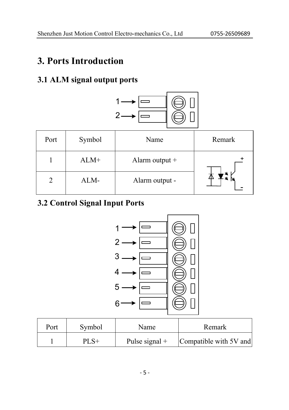# **3. Ports Introduction**

#### **3.1 ALM signal output ports**



| Port | Symbol | Name           | Remark |
|------|--------|----------------|--------|
|      | $ALM+$ | Alarm output + |        |
|      | ALM-   | Alarm output - |        |

#### **3.2 Control Signal Input Ports**



| Port | Symbol  | Name             | Remark                 |
|------|---------|------------------|------------------------|
|      | $PI.S+$ | Pulse signal $+$ | Compatible with 5V and |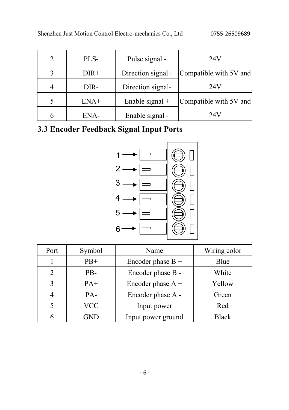|   | PLS-   | Pulse signal -    | 24V                    |
|---|--------|-------------------|------------------------|
| 3 | $DIR+$ | Direction signal+ | Compatible with 5V and |
|   | DIR-   | Direction signal- | 24V                    |
|   | $ENA+$ | Enable signal $+$ | Compatible with 5V and |
|   | ENA-   | Enable signal -   | 24V                    |

### **3.3 Encoder Feedback Signal Input Ports**



| Port | Symbol | Name                | Wiring color |
|------|--------|---------------------|--------------|
|      | $PB+$  | Encoder phase $B +$ | Blue         |
|      | PB-    | Encoder phase B -   | White        |
| ζ    | $PA+$  | Encoder phase A +   | Yellow       |
|      | PA-    | Encoder phase A -   | Green        |
|      | VCC    | Input power         | Red          |
|      |        | Input power ground  | <b>Black</b> |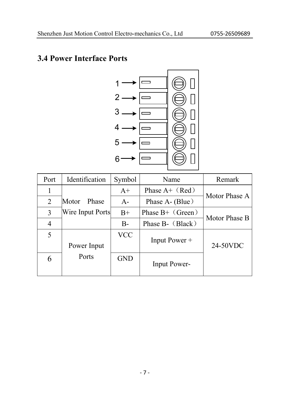### **3.4 Power Interface Ports**



| Port | Identification   | Symbol     | Name                | Remark        |
|------|------------------|------------|---------------------|---------------|
| 1    |                  | $A+$       | Phase $A+$ (Red)    | Motor Phase A |
| 2    | Motor<br>Phase   | $A -$      | Phase A- (Blue)     |               |
| 3    | Wire Input Ports | $B+$       | Phase $B+$ (Green)  | Motor Phase B |
| 4    |                  | $B -$      | Phase B- (Black)    |               |
| 5    | Power Input      | <b>VCC</b> | Input Power +       | 24-50VDC      |
| 6    | Ports            | <b>GND</b> | <b>Input Power-</b> |               |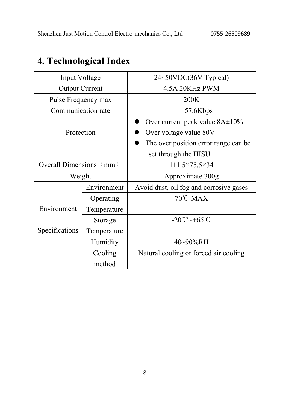# **4. Technological Index**

| Input Voltage           |             | 24~50VDC(36V Typical)                   |  |  |
|-------------------------|-------------|-----------------------------------------|--|--|
| <b>Output Current</b>   |             | 4.5A 20KHz PWM                          |  |  |
| Pulse Frequency max     |             | 200K                                    |  |  |
| Communication rate      |             | 57.6Kbps                                |  |  |
|                         |             | Over current peak value $8A \pm 10\%$   |  |  |
| Protection              |             | Over voltage value 80V                  |  |  |
|                         |             | The over position error range can be.   |  |  |
|                         |             | set through the HISU                    |  |  |
| Overall Dimensions (mm) |             | $111.5\times 75.5\times 34$             |  |  |
| Weight                  |             | Approximate 300g                        |  |  |
|                         | Environment | Avoid dust, oil fog and corrosive gases |  |  |
|                         | Operating   | $70^{\circ}$ C MAX                      |  |  |
| Environment             | Temperature |                                         |  |  |
|                         | Storage     | $-20^{\circ}$ C $\sim$ +65 $^{\circ}$ C |  |  |
| Specifications          | Temperature |                                         |  |  |
|                         | Humidity    | $40\sim90\%$ RH                         |  |  |
|                         | Cooling     | Natural cooling or forced air cooling   |  |  |
|                         | method      |                                         |  |  |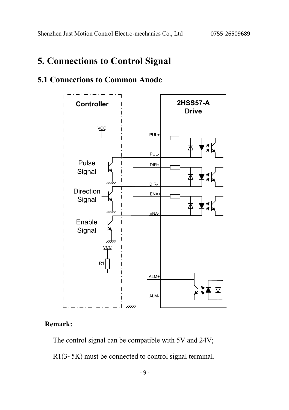# **5. Connections to Control Signal**

#### **5.1 Connections to Common Anode**



#### **Remark:**

The control signal can be compatible with 5V and 24V;

R1(3~5K) must be connected to control signal terminal.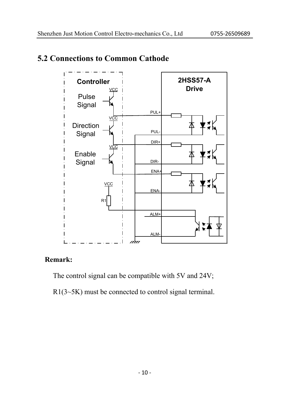

#### **5.2 Connections to Common Cathode**

#### **Remark:**

The control signal can be compatible with 5V and 24V;

 $R1(3~5K)$  must be connected to control signal terminal.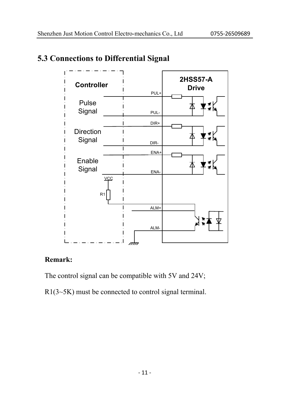

#### **5.3 Connections to Differential Signal**

#### **Remark:**

The control signal can be compatible with 5V and 24V;

R1(3~5K) must be connected to control signal terminal.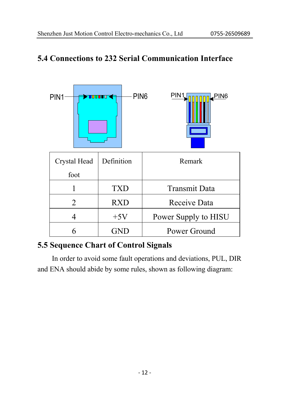#### **5.4 Connections to 232 Serial Communication Interface**



#### **5.5 Sequence Chart of Control Signals**

In order to avoid some fault operations and deviations, PUL, DIR and ENA should abide by some rules, shown as following diagram: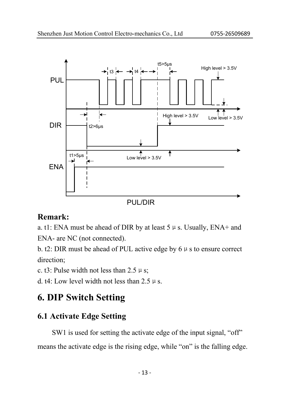

#### **Remark:**

a. t1: ENA must be ahead of DIR by at least  $5 \mu s$ . Usually, ENA+ and ENA- are NC (not connected).

b. t2: DIR must be ahead of PUL active edge by  $6 \mu s$  to ensure correct direction;

c. t3: Pulse width not less than  $2.5 \mu s$ ;

d. t4: Low level width not less than  $2.5 \mu s$ .

# **6. DIP Switch Setting**

#### **6.1 Activate Edge Setting**

SW1 is used for setting the activate edge of the input signal, "off" means the activate edge is the rising edge, while "on" is the falling edge.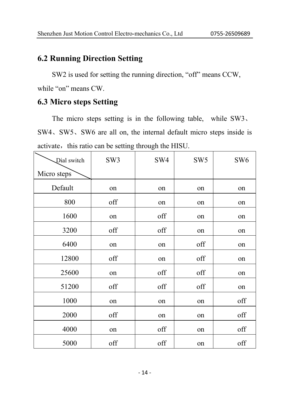#### **6.2 Running Direction Setting**

SW2 is used for setting the running direction, "off" means CCW, while "on" means CW.

#### **6.3 Micro steps Setting**

The micro steps setting is in the following table, while SW3、 SW4、SW5、SW6 are all on, the internal default micro steps inside is activate, this ratio can be setting through the HISU.

| Dial switch | SW3 | SW4 | SW <sub>5</sub> | SW <sub>6</sub> |
|-------------|-----|-----|-----------------|-----------------|
| Micro steps |     |     |                 |                 |
| Default     | on  | on  | on              | on              |
| 800         | off | on  | on              | on              |
| 1600        | on  | off | on              | on              |
| 3200        | off | off | on              | on              |
| 6400        | on  | on  | off             | on              |
| 12800       | off | on  | off             | on              |
| 25600       | on  | off | off             | on              |
| 51200       | off | off | off             | on              |
| 1000        | on  | on  | on              | off             |
| 2000        | off | on  | on              | off             |
| 4000        | on  | off | on              | off             |
| 5000        | off | off | on              | off             |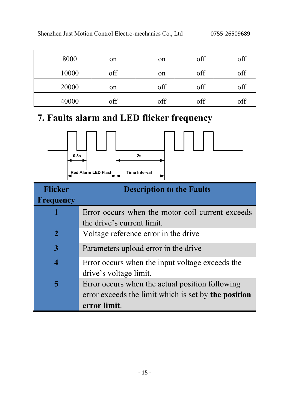| 8000  | on  | on  | off | off |
|-------|-----|-----|-----|-----|
| 10000 | off | on  | off | off |
| 20000 | on  | off | off | off |
| 40000 | off | off | off | off |

# **7. Faults alarm and LED flicker frequency**



| <b>Flicker</b>   | <b>Description to the Faults</b>                     |
|------------------|------------------------------------------------------|
| <b>Frequency</b> |                                                      |
|                  | Error occurs when the motor coil current exceeds     |
|                  | the drive's current limit.                           |
| $\mathbf{2}$     | Voltage reference error in the drive                 |
| 3                | Parameters upload error in the drive                 |
| 4                | Error occurs when the input voltage exceeds the      |
|                  | drive's voltage limit.                               |
| 5                | Error occurs when the actual position following      |
|                  | error exceeds the limit which is set by the position |
|                  | error limit.                                         |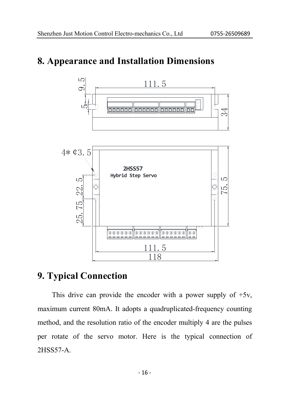#### **8. Appearance and Installation Dimensions**



#### **9. Typical Connection**

This drive can provide the encoder with a power supply of  $+5v$ , maximum current 80mA. It adopts a quadruplicated-frequency counting method, and the resolution ratio of the encoder multiply 4 are the pulses per rotate of the servo motor. Here is the typical connection of 2HSS57-A.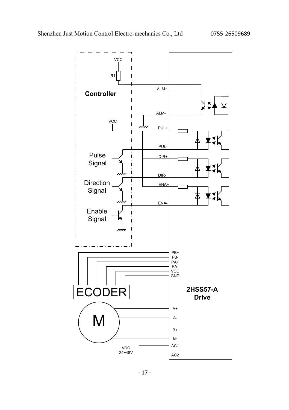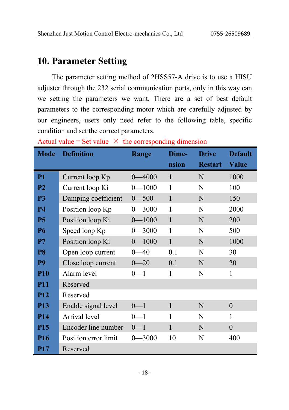#### **10. Parameter Setting**

The parameter setting method of 2HSS57-A drive is to use a HISU adjuster through the 232 serial communication ports, only in this way can we setting the parameters we want. There are a set of best default parameters to the corresponding motor which are carefully adjusted by our engineers, users only need refer to the following table, specific condition and set the correct parameters.

| <b>Mode</b>    | <b>Definition</b>    | Range           | Dime-        | <b>Drive</b>   | <b>Default</b> |
|----------------|----------------------|-----------------|--------------|----------------|----------------|
|                |                      |                 | nsion        | <b>Restart</b> | <b>Value</b>   |
| P <sub>1</sub> | Current loop Kp      | $0 - 4000$      | $\mathbf{1}$ | N              | 1000           |
| <b>P2</b>      | Current loop Ki      | $0 - 1000$      | 1            | N              | 100            |
| P3             | Damping coefficient  | $0 - 500$       | $\mathbf{1}$ | N              | 150            |
| <b>P4</b>      | Position loop Kp     | $-3000$<br>0-   | 1            | N              | 2000           |
| <b>P5</b>      | Position loop Ki     | $0 - 1000$      | $\mathbf{1}$ | N              | 200            |
| <b>P6</b>      | Speed loop Kp        | $0 - 3000$      | 1            | N              | 500            |
| P7             | Position loop Ki     | $0 - 1000$      | $\mathbf{1}$ | N              | 1000           |
| P8             | Open loop current    | -40<br>$\Omega$ | 0.1          | N              | 30             |
| P9             | Close loop current   | $0 - 20$        | 0.1          | N              | 20             |
| <b>P10</b>     | Alarm level          | $0 - 1$         | 1            | N              | 1              |
| <b>P11</b>     | Reserved             |                 |              |                |                |
| <b>P12</b>     | Reserved             |                 |              |                |                |
| <b>P13</b>     | Enable signal level  | $0 - 1$         | $\mathbf{1}$ | N              | $\theta$       |
| <b>P14</b>     | Arrival level        | $0 - 1$         | 1            | N              | 1              |
| <b>P15</b>     | Encoder line number  | $0 - 1$         | 1            | N              | $\theta$       |
| <b>P16</b>     | Position error limit | $0 - 3000$      | 10           | N              | 400            |
| <b>P17</b>     | Reserved             |                 |              |                |                |

Actual value = Set value  $\times$  the corresponding dimension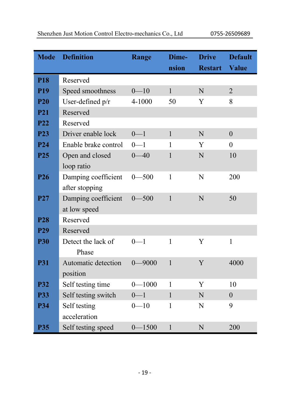| <b>Mode</b>     | <b>Definition</b>    | <b>Range</b> | Dime-        | <b>Drive</b>   | <b>Default</b>   |
|-----------------|----------------------|--------------|--------------|----------------|------------------|
|                 |                      |              | nsion        | <b>Restart</b> | <b>Value</b>     |
| <b>P18</b>      | Reserved             |              |              |                |                  |
| <b>P19</b>      | Speed smoothness     | $0 - 10$     | $\mathbf{1}$ | N              | $\overline{2}$   |
| <b>P20</b>      | User-defined p/r     | 4-1000       | 50           | Y              | 8                |
| <b>P21</b>      | Reserved             |              |              |                |                  |
| <b>P22</b>      | Reserved             |              |              |                |                  |
| P <sub>23</sub> | Driver enable lock   | $0 - 1$      | $\mathbf{1}$ | N              | $\overline{0}$   |
| P <sub>24</sub> | Enable brake control | $0 - 1$      | 1            | Y              | $\Omega$         |
| P <sub>25</sub> | Open and closed      | $0 - 40$     | 1            | N              | 10               |
|                 | loop ratio           |              |              |                |                  |
| P <sub>26</sub> | Damping coefficient  | $0 - 500$    | $\mathbf{1}$ | $\mathbf N$    | 200              |
|                 | after stopping       |              |              |                |                  |
| <b>P27</b>      | Damping coefficient  | $0 - 500$    | $\mathbf{1}$ | N              | 50               |
|                 | at low speed         |              |              |                |                  |
| <b>P28</b>      | Reserved             |              |              |                |                  |
| P <sub>29</sub> | Reserved             |              |              |                |                  |
| <b>P30</b>      | Detect the lack of   | $0 - 1$      | 1            | Y              | $\mathbf{1}$     |
|                 | Phase                |              |              |                |                  |
| <b>P31</b>      | Automatic detection  | $0 - 9000$   | $\mathbf{1}$ | Y              | 4000             |
|                 | position             |              |              |                |                  |
| <b>P32</b>      | Self testing time    | $0 - 1000$   | 1            | Y              | 10               |
| <b>P33</b>      | Self testing switch  | $0 - 1$      | $\mathbf{1}$ | N              | $\boldsymbol{0}$ |
| <b>P34</b>      | Self testing         | $0 - 10$     | 1            | N              | 9                |
|                 | acceleration         |              |              |                |                  |
| <b>P35</b>      | Self testing speed   | $0 - 1500$   | $\mathbf{1}$ | N              | 200              |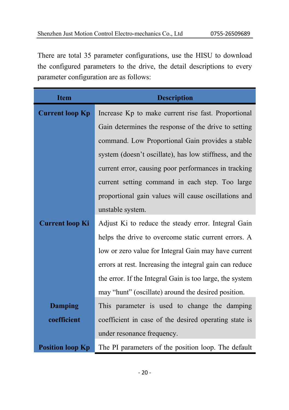There are total 35 parameter configurations, use the HISU to download the configured parameters to the drive, the detail descriptions to every parameter configuration are as follows:

| <b>Item</b>             | <b>Description</b>                                       |  |  |  |  |  |  |
|-------------------------|----------------------------------------------------------|--|--|--|--|--|--|
| <b>Current loop Kp</b>  | Increase Kp to make current rise fast. Proportional      |  |  |  |  |  |  |
|                         | Gain determines the response of the drive to setting     |  |  |  |  |  |  |
|                         | command. Low Proportional Gain provides a stable         |  |  |  |  |  |  |
|                         | system (doesn't oscillate), has low stiffness, and the   |  |  |  |  |  |  |
|                         | current error, causing poor performances in tracking     |  |  |  |  |  |  |
|                         | current setting command in each step. Too large          |  |  |  |  |  |  |
|                         | proportional gain values will cause oscillations and     |  |  |  |  |  |  |
|                         | unstable system.                                         |  |  |  |  |  |  |
| <b>Current loop Ki</b>  | Adjust Ki to reduce the steady error. Integral Gain      |  |  |  |  |  |  |
|                         | helps the drive to overcome static current errors. A     |  |  |  |  |  |  |
|                         | low or zero value for Integral Gain may have current     |  |  |  |  |  |  |
|                         | errors at rest. Increasing the integral gain can reduce  |  |  |  |  |  |  |
|                         | the error. If the Integral Gain is too large, the system |  |  |  |  |  |  |
|                         | may "hunt" (oscillate) around the desired position.      |  |  |  |  |  |  |
| <b>Damping</b>          | This parameter is used to change the damping             |  |  |  |  |  |  |
| coefficient             | coefficient in case of the desired operating state is    |  |  |  |  |  |  |
|                         | under resonance frequency.                               |  |  |  |  |  |  |
| <b>Position loop Kp</b> | The PI parameters of the position loop. The default      |  |  |  |  |  |  |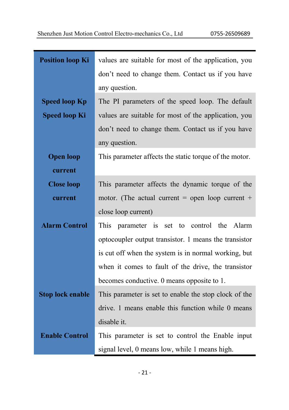| <b>Position loop Ki</b> | values are suitable for most of the application, you   |  |  |  |  |  |
|-------------------------|--------------------------------------------------------|--|--|--|--|--|
|                         | don't need to change them. Contact us if you have      |  |  |  |  |  |
|                         | any question.                                          |  |  |  |  |  |
| <b>Speed loop Kp</b>    | The PI parameters of the speed loop. The default       |  |  |  |  |  |
| <b>Speed loop Ki</b>    | values are suitable for most of the application, you   |  |  |  |  |  |
|                         | don't need to change them. Contact us if you have      |  |  |  |  |  |
|                         | any question.                                          |  |  |  |  |  |
| <b>Open loop</b>        | This parameter affects the static torque of the motor. |  |  |  |  |  |
| current                 |                                                        |  |  |  |  |  |
| <b>Close loop</b>       | This parameter affects the dynamic torque of the       |  |  |  |  |  |
| current                 | motor. (The actual current = open loop current +       |  |  |  |  |  |
|                         | close loop current)                                    |  |  |  |  |  |
| <b>Alarm Control</b>    | parameter is<br>to control the Alarm<br>This<br>set    |  |  |  |  |  |
|                         | optocoupler output transistor. 1 means the transistor  |  |  |  |  |  |
|                         | is cut off when the system is in normal working, but   |  |  |  |  |  |
|                         | when it comes to fault of the drive, the transistor    |  |  |  |  |  |
|                         | becomes conductive. 0 means opposite to 1.             |  |  |  |  |  |
| <b>Stop lock enable</b> | This parameter is set to enable the stop clock of the  |  |  |  |  |  |
|                         |                                                        |  |  |  |  |  |
|                         | drive. 1 means enable this function while 0 means      |  |  |  |  |  |
|                         | disable it.                                            |  |  |  |  |  |
| <b>Enable Control</b>   | This parameter is set to control the Enable input      |  |  |  |  |  |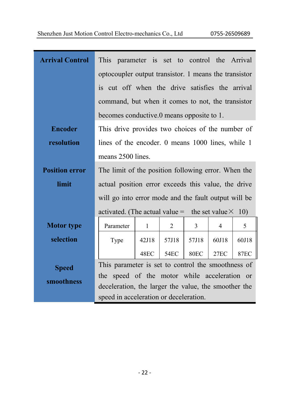| <b>Arrival Control</b> | This parameter is set to control the Arrival                                                   |              |                |                  |                |             |  |  |  |
|------------------------|------------------------------------------------------------------------------------------------|--------------|----------------|------------------|----------------|-------------|--|--|--|
|                        | optocoupler output transistor. 1 means the transistor                                          |              |                |                  |                |             |  |  |  |
|                        | is cut off when the drive satisfies the arrival                                                |              |                |                  |                |             |  |  |  |
|                        | command, but when it comes to not, the transistor                                              |              |                |                  |                |             |  |  |  |
|                        | becomes conductive.0 means opposite to 1.                                                      |              |                |                  |                |             |  |  |  |
| <b>Encoder</b>         | This drive provides two choices of the number of                                               |              |                |                  |                |             |  |  |  |
| resolution             | lines of the encoder. 0 means 1000 lines, while 1                                              |              |                |                  |                |             |  |  |  |
|                        | means 2500 lines.                                                                              |              |                |                  |                |             |  |  |  |
| <b>Position error</b>  | The limit of the position following error. When the                                            |              |                |                  |                |             |  |  |  |
| limit                  | actual position error exceeds this value, the drive                                            |              |                |                  |                |             |  |  |  |
|                        | will go into error mode and the fault output will be                                           |              |                |                  |                |             |  |  |  |
|                        | activated. (The actual value = the set value $\times$ 10)                                      |              |                |                  |                |             |  |  |  |
| <b>Motor</b> type      | Parameter                                                                                      | $\mathbf{1}$ | $\mathfrak{D}$ | 3                | $\overline{4}$ | 5           |  |  |  |
| selection              | Type                                                                                           | 42J18        | 57J18          | 57J18            | 60J18          | 60J18       |  |  |  |
|                        |                                                                                                | 48EC         | <b>54EC</b>    | 80 <sub>EC</sub> | 27EC           | <b>87EC</b> |  |  |  |
| <b>Speed</b>           | This parameter is set to control the smoothness of                                             |              |                |                  |                |             |  |  |  |
| smoothness             | the speed of the motor while acceleration or                                                   |              |                |                  |                |             |  |  |  |
|                        | deceleration, the larger the value, the smoother the<br>speed in acceleration or deceleration. |              |                |                  |                |             |  |  |  |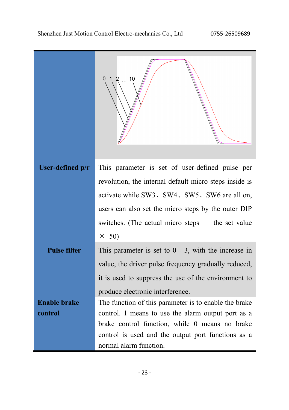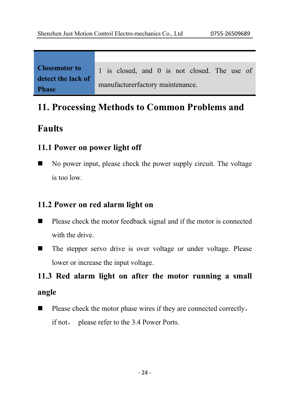| <b>Closemotor to</b> |                                  | 1 is closed, and 0 is not closed. The use of |  |  |  |  |  |  |  |
|----------------------|----------------------------------|----------------------------------------------|--|--|--|--|--|--|--|
| detect the lack of   | manufacturerfactory maintenance. |                                              |  |  |  |  |  |  |  |
| <b>Phase</b>         |                                  |                                              |  |  |  |  |  |  |  |

# **11. Processing Methods to Common Problems and**

### **Faults**

#### **11.1 Power on power light off**

 $\blacksquare$  No power input, please check the power supply circuit. The voltage is too low.

#### **11.2 Power on red alarm light on**

- $\blacksquare$  Please check the motor feedback signal and if the motor is connected with the drive.
- The stepper servo drive is over voltage or under voltage. Please lower or increase the input voltage.

# **11.3 Red alarm light on after the motor running a small angle**

 $\blacksquare$  Please check the motor phase wires if they are connected correctly, if not, please refer to the 3.4 Power Ports.